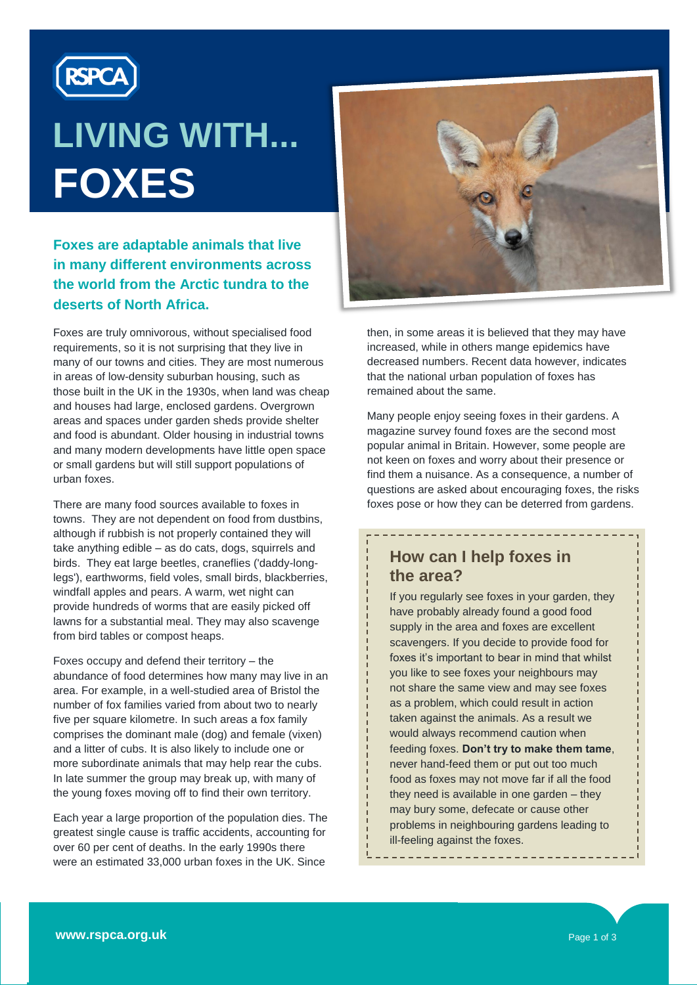

# **LIVING WITH... FOXES**

#### **Foxes are adaptable animals that live in many different environments across the world from the Arctic tundra to the deserts of North Africa.**

Foxes are truly omnivorous, without specialised food requirements, so it is not surprising that they live in many of our towns and cities. They are most numerous in areas of low-density suburban housing, such as those built in the UK in the 1930s, when land was cheap and houses had large, enclosed gardens. Overgrown areas and spaces under garden sheds provide shelter and food is abundant. Older housing in industrial towns and many modern developments have little open space or small gardens but will still support populations of urban foxes.

There are many food sources available to foxes in towns. They are not dependent on food from dustbins, although if rubbish is not properly contained they will take anything edible – as do cats, dogs, squirrels and birds. They eat large beetles, craneflies ('daddy-longlegs'), earthworms, field voles, small birds, blackberries, windfall apples and pears. A warm, wet night can provide hundreds of worms that are easily picked off lawns for a substantial meal. They may also scavenge from bird tables or compost heaps.

Foxes occupy and defend their territory – the abundance of food determines how many may live in an area. For example, in a well-studied area of Bristol the number of fox families varied from about two to nearly five per square kilometre. In such areas a fox family comprises the dominant male (dog) and female (vixen) and a litter of cubs. It is also likely to include one or more subordinate animals that may help rear the cubs. In late summer the group may break up, with many of the young foxes moving off to find their own territory.

Each year a large proportion of the population dies. The greatest single cause is traffic accidents, accounting for over 60 per cent of deaths. In the early 1990s there were an estimated 33,000 urban foxes in the UK. Since



then, in some areas it is believed that they may have increased, while in others mange epidemics have decreased numbers. Recent data however, indicates that the national urban population of foxes has remained about the same.

Many people enjoy seeing foxes in their gardens. A magazine survey found foxes are the second most popular animal in Britain. However, some people are not keen on foxes and worry about their presence or find them a nuisance. As a consequence, a number of questions are asked about encouraging foxes, the risks foxes pose or how they can be deterred from gardens.

## **How can I help foxes in the area?**

If you regularly see foxes in your garden, they have probably already found a good food supply in the area and foxes are excellent scavengers. If you decide to provide food for foxes it's important to bear in mind that whilst you like to see foxes your neighbours may not share the same view and may see foxes as a problem, which could result in action taken against the animals. As a result we would always recommend caution when feeding foxes. **Don't try to make them tame**, never hand-feed them or put out too much food as foxes may not move far if all the food they need is available in one garden – they may bury some, defecate or cause other problems in neighbouring gardens leading to ill-feeling against the foxes.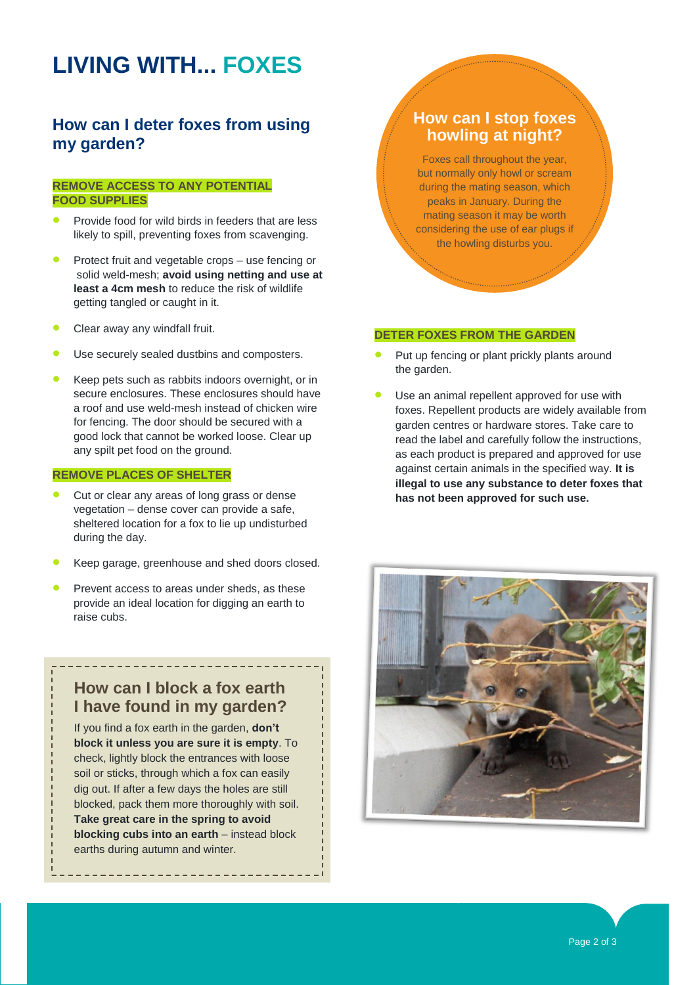# **LIVING WITH... FOXES**

#### **How can I deter foxes from using my garden?**

#### **REMOVE ACCESS TO ANY POTENTIAL FOOD SUPPLIES**

- Provide food for wild birds in feeders that are less likely to spill, preventing foxes from scavenging.
- Protect fruit and vegetable crops use fencing or solid weld-mesh; **avoid using netting and use at least a 4cm mesh** to reduce the risk of wildlife getting tangled or caught in it.
- Clear away any windfall fruit.
- Use securely sealed dustbins and composters.
- Keep pets such as rabbits indoors overnight, or in secure enclosures. These enclosures should have a roof and use weld-mesh instead of chicken wire for fencing. The door should be secured with a good lock that cannot be worked loose. Clear up any spilt pet food on the ground.

#### **REMOVE PLACES OF SHELTER**

- Cut or clear any areas of long grass or dense vegetation – dense cover can provide a safe, sheltered location for a fox to lie up undisturbed during the day.
- Keep garage, greenhouse and shed doors closed.
- Prevent access to areas under sheds, as these provide an ideal location for digging an earth to raise cubs.

#### **How can I block a fox earth I have found in my garden?**

If you find a fox earth in the garden, **don't block it unless you are sure it is empty**. To check, lightly block the entrances with loose soil or sticks, through which a fox can easily dig out. If after a few days the holes are still blocked, pack them more thoroughly with soil. **Take great care in the spring to avoid blocking cubs into an earth** – instead block earths during autumn and winter.

#### **How can I stop foxes howling at night?**

Foxes call throughout the year, but normally only howl or scream during the mating season, which peaks in January. During the mating season it may be worth considering the use of ear plugs if the howling disturbs you.

#### **DETER FOXES FROM THE GARDEN**

- Put up fencing or plant prickly plants around the garden.
- Use an animal repellent approved for use with foxes. Repellent products are widely available from garden centres or hardware stores. Take care to read the label and carefully follow the instructions, as each product is prepared and approved for use against certain animals in the specified way. **It is illegal to use any substance to deter foxes that has not been approved for such use.**